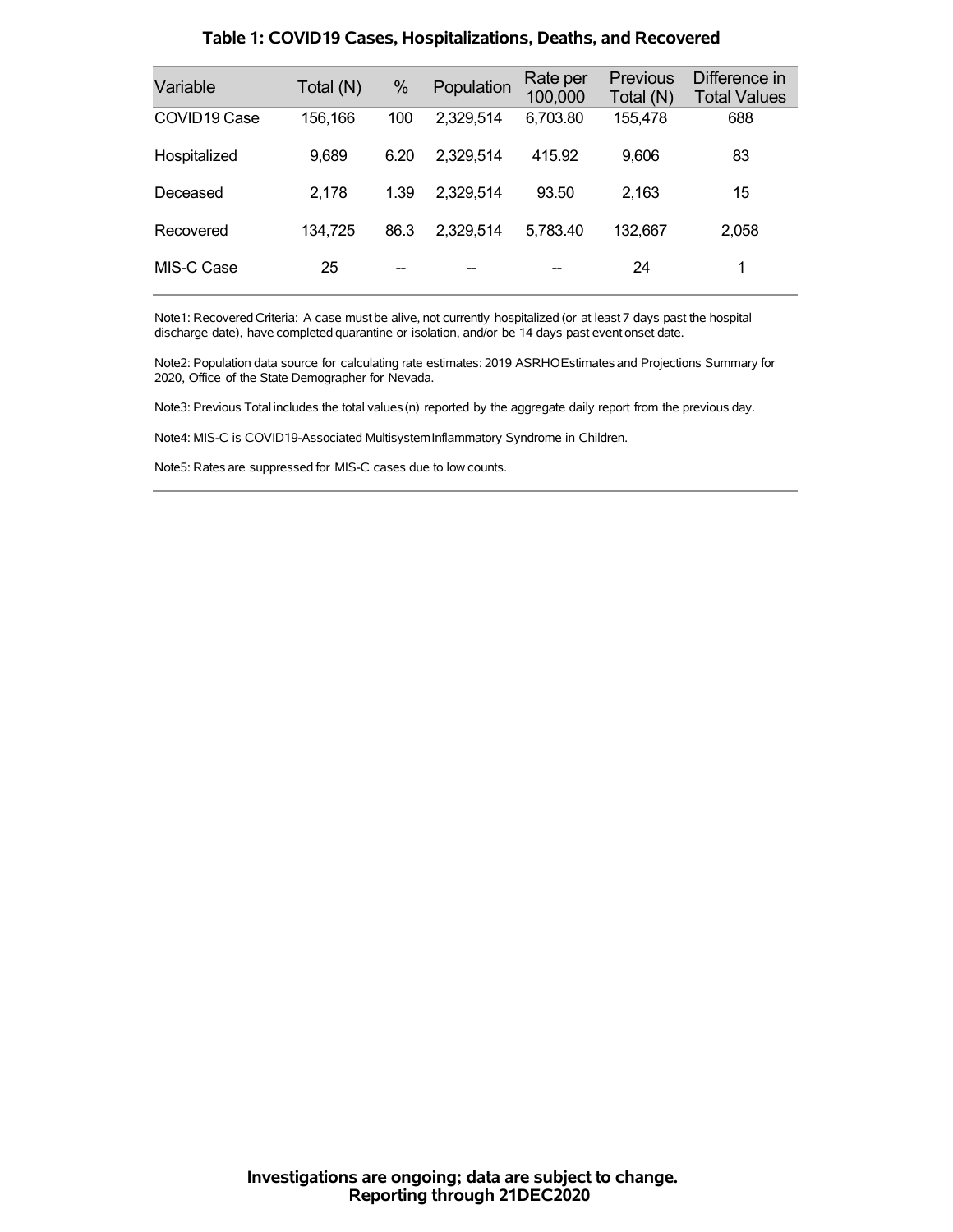| Variable                 | Total (N) | $\%$ | Population | Rate per<br>100,000 | <b>Previous</b><br>Total (N) | Difference in<br><b>Total Values</b> |
|--------------------------|-----------|------|------------|---------------------|------------------------------|--------------------------------------|
| COVID <sub>19</sub> Case | 156,166   | 100  | 2,329,514  | 6,703.80            | 155,478                      | 688                                  |
| Hospitalized             | 9,689     | 6.20 | 2,329,514  | 415.92              | 9,606                        | 83                                   |
| Deceased                 | 2,178     | 1.39 | 2,329,514  | 93.50               | 2,163                        | 15                                   |
| Recovered                | 134,725   | 86.3 | 2,329,514  | 5,783.40            | 132,667                      | 2,058                                |
| MIS-C Case               | 25        | --   | --         |                     | 24                           | 1                                    |

#### **Table 1: COVID19 Cases, Hospitalizations, Deaths, and Recovered**

Note1: Recovered Criteria: A case must be alive, not currently hospitalized (or at least 7 days past the hospital discharge date), have completed quarantine or isolation, and/or be 14 days past event onset date.

Note2: Population data source for calculating rate estimates: 2019 ASRHOEstimates and Projections Summary for 2020, Office of the State Demographer for Nevada.

Note3: Previous Total includes the total values(n) reported by the aggregate daily report from the previous day.

Note4: MIS-C is COVID19-Associated MultisystemInflammatory Syndrome in Children.

Note5: Rates are suppressed for MIS-C cases due to low counts.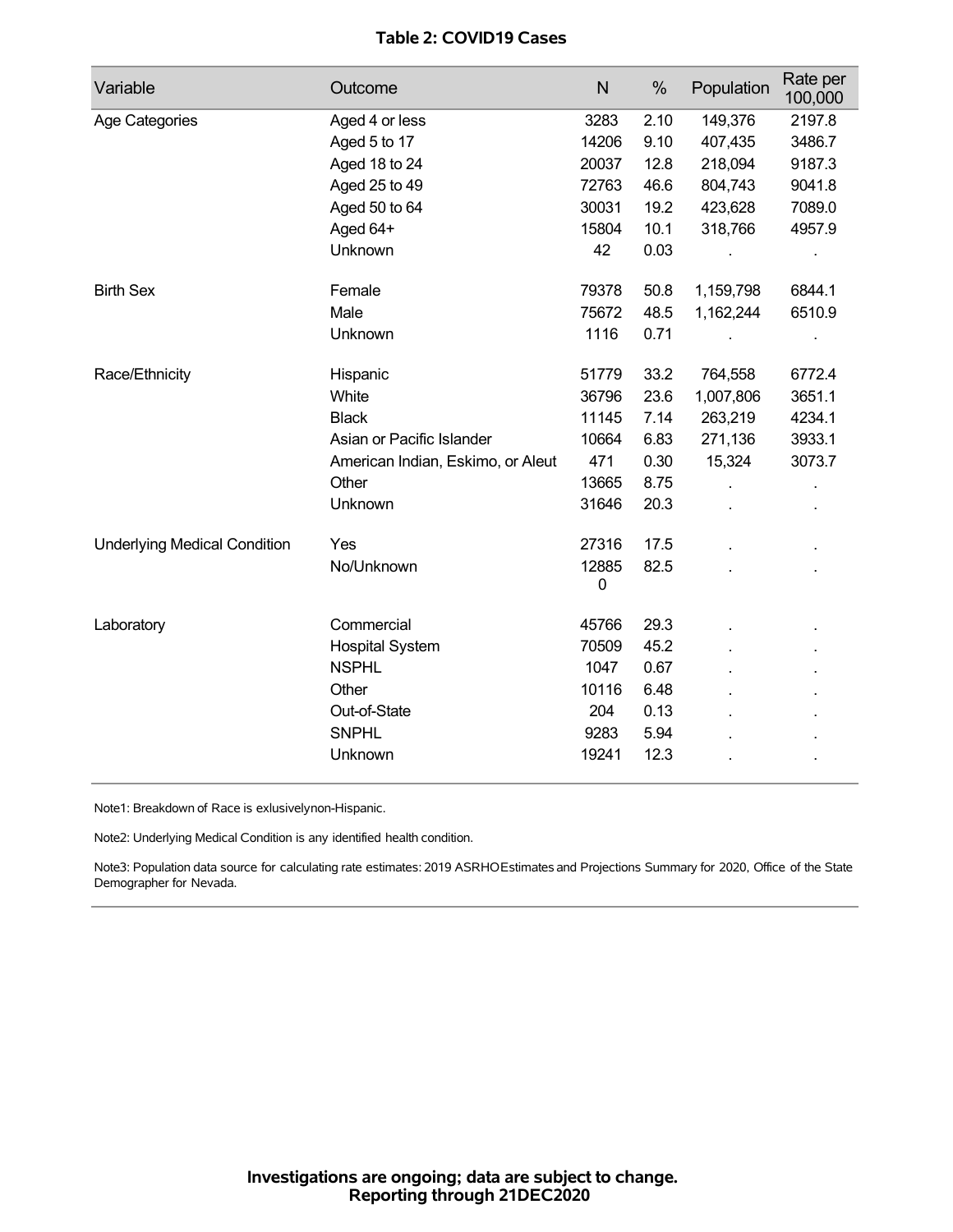# **Table 2: COVID19 Cases**

| Variable                            | Outcome                           | $\mathsf{N}$ | %    | Population | Rate per<br>100,000 |
|-------------------------------------|-----------------------------------|--------------|------|------------|---------------------|
| Age Categories                      | Aged 4 or less                    | 3283         | 2.10 | 149,376    | 2197.8              |
|                                     | Aged 5 to 17                      | 14206        | 9.10 | 407,435    | 3486.7              |
|                                     | Aged 18 to 24                     | 20037        | 12.8 | 218,094    | 9187.3              |
|                                     | Aged 25 to 49                     | 72763        | 46.6 | 804,743    | 9041.8              |
|                                     | Aged 50 to 64                     | 30031        | 19.2 | 423,628    | 7089.0              |
|                                     | Aged 64+                          | 15804        | 10.1 | 318,766    | 4957.9              |
|                                     | Unknown                           | 42           | 0.03 |            |                     |
| <b>Birth Sex</b>                    | Female                            | 79378        | 50.8 | 1,159,798  | 6844.1              |
|                                     | Male                              | 75672        | 48.5 | 1,162,244  | 6510.9              |
|                                     | Unknown                           | 1116         | 0.71 |            |                     |
| Race/Ethnicity                      | Hispanic                          | 51779        | 33.2 | 764,558    | 6772.4              |
|                                     | White                             | 36796        | 23.6 | 1,007,806  | 3651.1              |
|                                     | <b>Black</b>                      | 11145        | 7.14 | 263,219    | 4234.1              |
|                                     | Asian or Pacific Islander         | 10664        | 6.83 | 271,136    | 3933.1              |
|                                     | American Indian, Eskimo, or Aleut | 471          | 0.30 | 15,324     | 3073.7              |
|                                     | Other                             | 13665        | 8.75 |            |                     |
|                                     | Unknown                           | 31646        | 20.3 |            |                     |
| <b>Underlying Medical Condition</b> | Yes                               | 27316        | 17.5 |            |                     |
|                                     | No/Unknown                        | 12885<br>0   | 82.5 |            |                     |
| Laboratory                          | Commercial                        | 45766        | 29.3 |            |                     |
|                                     | <b>Hospital System</b>            | 70509        | 45.2 |            |                     |
|                                     | <b>NSPHL</b>                      | 1047         | 0.67 |            |                     |
|                                     | Other                             | 10116        | 6.48 |            |                     |
|                                     | Out-of-State                      | 204          | 0.13 |            |                     |
|                                     | <b>SNPHL</b>                      | 9283         | 5.94 |            |                     |
|                                     | Unknown                           | 19241        | 12.3 |            |                     |

Note1: Breakdown of Race is exlusivelynon-Hispanic.

Note2: Underlying Medical Condition is any identified health condition.

Note3: Population data source for calculating rate estimates: 2019 ASRHOEstimates and Projections Summary for 2020, Office of the State Demographer for Nevada.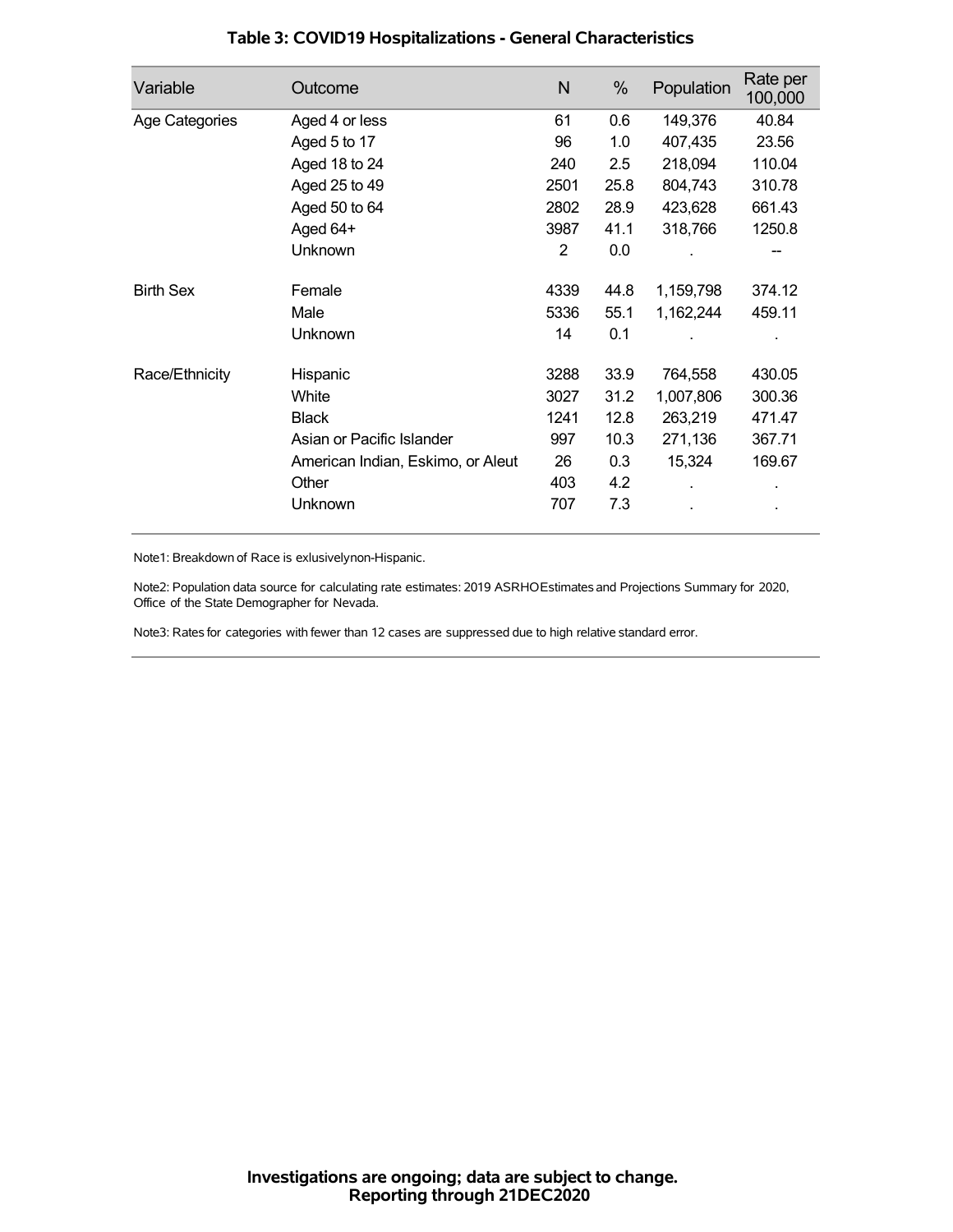| Variable         | Outcome                           | N    | %    | Population | Rate per<br>100,000 |
|------------------|-----------------------------------|------|------|------------|---------------------|
| Age Categories   | Aged 4 or less                    | 61   | 0.6  | 149,376    | 40.84               |
|                  | Aged 5 to 17                      | 96   | 1.0  | 407,435    | 23.56               |
|                  | Aged 18 to 24                     | 240  | 2.5  | 218,094    | 110.04              |
|                  | Aged 25 to 49                     | 2501 | 25.8 | 804,743    | 310.78              |
|                  | Aged 50 to 64                     | 2802 | 28.9 | 423,628    | 661.43              |
|                  | Aged 64+                          | 3987 | 41.1 | 318,766    | 1250.8              |
|                  | Unknown                           | 2    | 0.0  |            | --                  |
| <b>Birth Sex</b> | Female                            | 4339 | 44.8 | 1,159,798  | 374.12              |
|                  | Male                              | 5336 | 55.1 | 1,162,244  | 459.11              |
|                  | <b>Unknown</b>                    | 14   | 0.1  |            |                     |
| Race/Ethnicity   | Hispanic                          | 3288 | 33.9 | 764,558    | 430.05              |
|                  | White                             | 3027 | 31.2 | 1,007,806  | 300.36              |
|                  | <b>Black</b>                      | 1241 | 12.8 | 263,219    | 471.47              |
|                  | Asian or Pacific Islander         | 997  | 10.3 | 271,136    | 367.71              |
|                  | American Indian, Eskimo, or Aleut | 26   | 0.3  | 15,324     | 169.67              |
|                  | Other                             | 403  | 4.2  |            |                     |
|                  | Unknown                           | 707  | 7.3  |            |                     |

# **Table 3: COVID19 Hospitalizations - General Characteristics**

Note1: Breakdown of Race is exlusivelynon-Hispanic.

Note2: Population data source for calculating rate estimates: 2019 ASRHOEstimates and Projections Summary for 2020, Office of the State Demographer for Nevada.

Note3: Rates for categories with fewer than 12 cases are suppressed due to high relative standard error.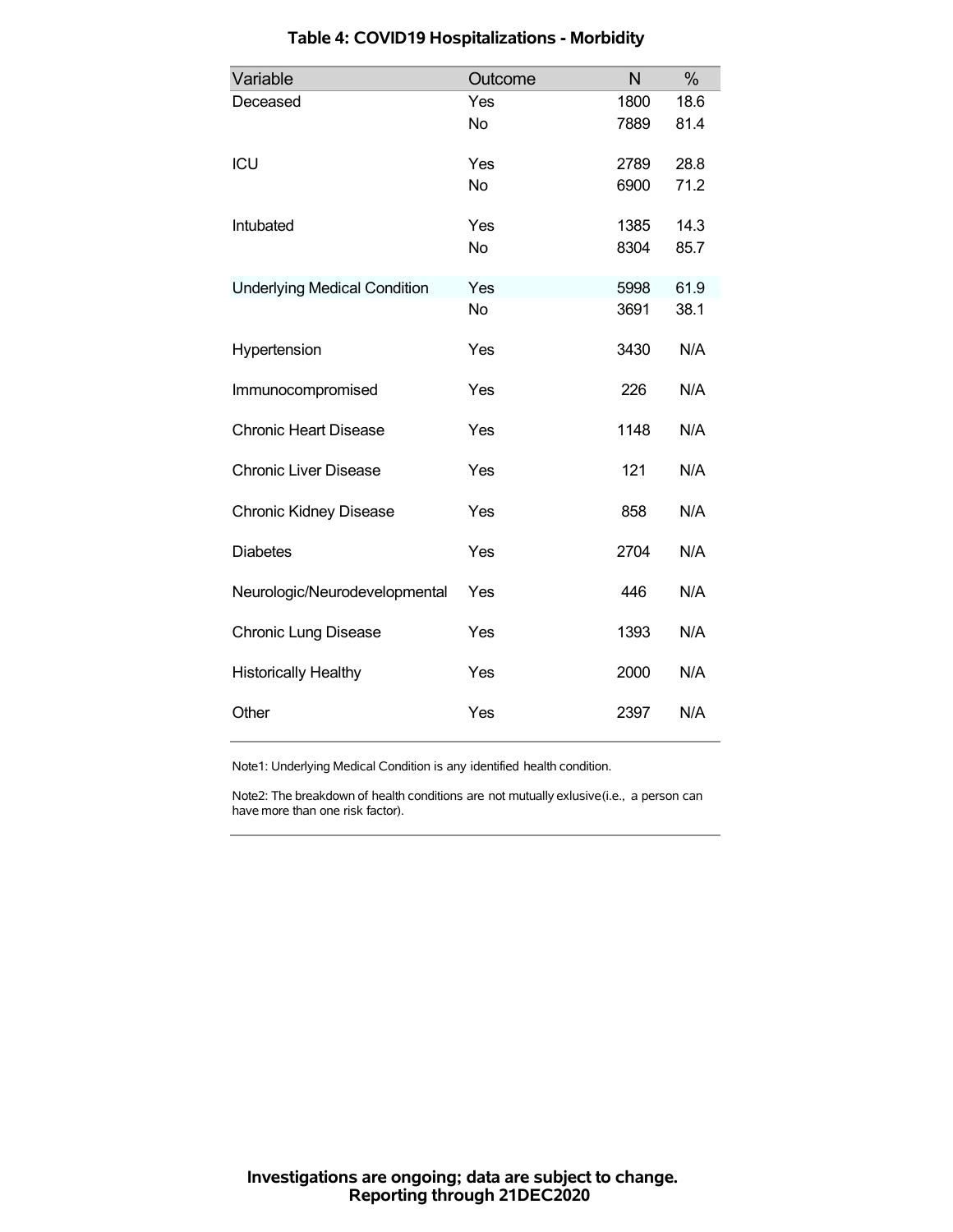| Variable                            | Outcome   | N    | %    |
|-------------------------------------|-----------|------|------|
| Deceased                            | Yes       | 1800 | 18.6 |
|                                     | <b>No</b> | 7889 | 81.4 |
| ICU                                 | Yes       | 2789 | 28.8 |
|                                     | <b>No</b> | 6900 | 71.2 |
| Intubated                           | Yes       | 1385 | 14.3 |
|                                     | <b>No</b> | 8304 | 85.7 |
| <b>Underlying Medical Condition</b> | Yes       | 5998 | 61.9 |
|                                     | <b>No</b> | 3691 | 38.1 |
| Hypertension                        | Yes       | 3430 | N/A  |
| Immunocompromised                   | Yes       | 226  | N/A  |
| <b>Chronic Heart Disease</b>        | Yes       | 1148 | N/A  |
| <b>Chronic Liver Disease</b>        | Yes       | 121  | N/A  |
| <b>Chronic Kidney Disease</b>       | Yes       | 858  | N/A  |
| <b>Diabetes</b>                     | Yes       | 2704 | N/A  |
| Neurologic/Neurodevelopmental       | Yes       | 446  | N/A  |
| <b>Chronic Lung Disease</b>         | Yes       | 1393 | N/A  |
| <b>Historically Healthy</b>         | Yes       | 2000 | N/A  |
| Other                               | Yes       | 2397 | N/A  |

### **Table 4: COVID19 Hospitalizations - Morbidity**

Note1: Underlying Medical Condition is any identified health condition.

Note2: The breakdown of health conditions are not mutually exlusive(i.e., a person can have more than one risk factor).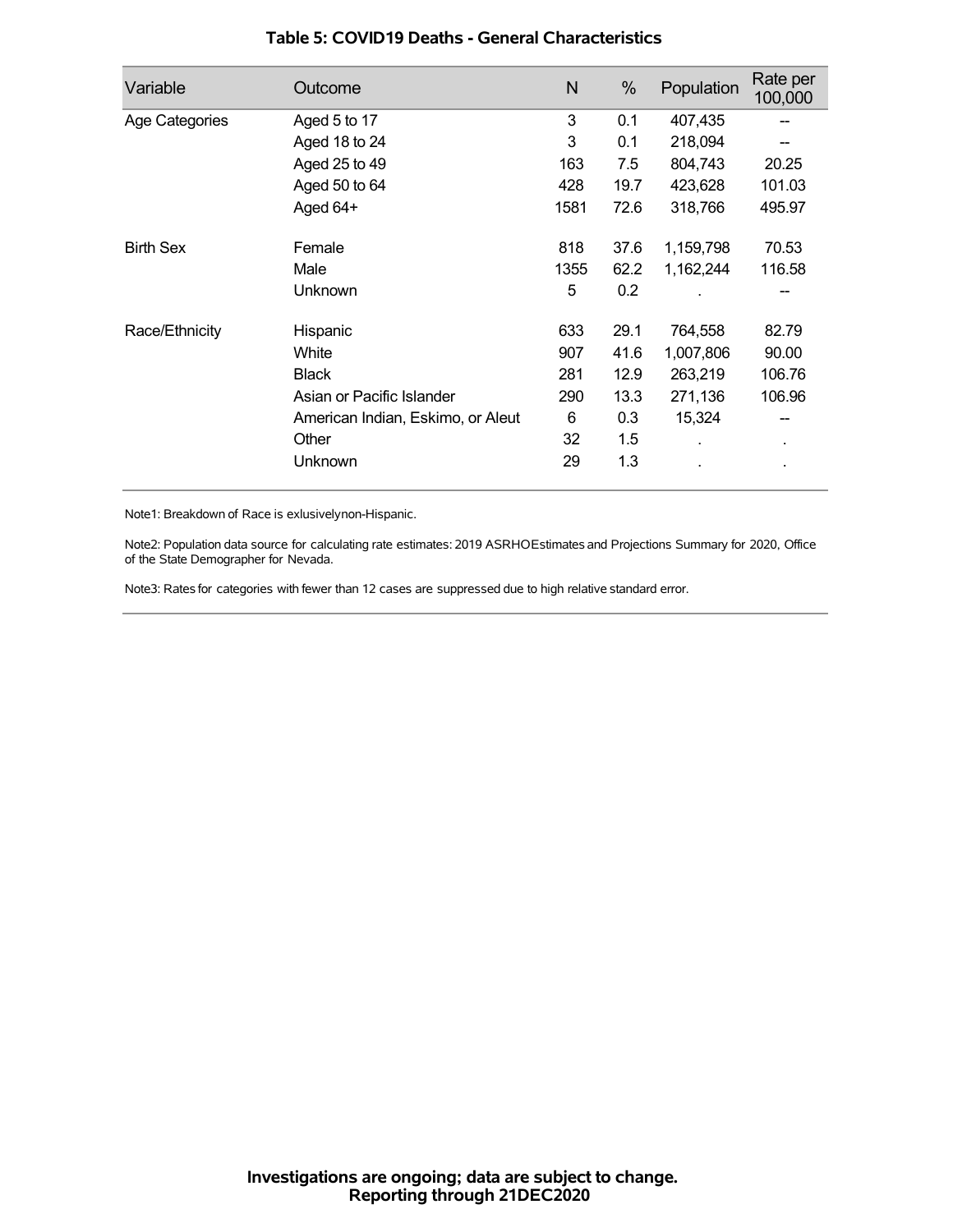| Variable         | Outcome                           | N    | %    | Population | Rate per<br>100,000 |
|------------------|-----------------------------------|------|------|------------|---------------------|
| Age Categories   | Aged 5 to 17                      | 3    | 0.1  | 407,435    |                     |
|                  | Aged 18 to 24                     | 3    | 0.1  | 218,094    |                     |
|                  | Aged 25 to 49                     | 163  | 7.5  | 804,743    | 20.25               |
|                  | Aged 50 to 64                     | 428  | 19.7 | 423,628    | 101.03              |
|                  | Aged 64+                          | 1581 | 72.6 | 318,766    | 495.97              |
| <b>Birth Sex</b> | Female                            | 818  | 37.6 | 1,159,798  | 70.53               |
|                  | Male                              | 1355 | 62.2 | 1,162,244  | 116.58              |
|                  | Unknown                           | 5    | 0.2  |            |                     |
| Race/Ethnicity   | Hispanic                          | 633  | 29.1 | 764,558    | 82.79               |
|                  | White                             | 907  | 41.6 | 1,007,806  | 90.00               |
|                  | <b>Black</b>                      | 281  | 12.9 | 263,219    | 106.76              |
|                  | Asian or Pacific Islander         | 290  | 13.3 | 271,136    | 106.96              |
|                  | American Indian, Eskimo, or Aleut | 6    | 0.3  | 15,324     |                     |
|                  | Other                             | 32   | 1.5  |            | $\blacksquare$      |
|                  | Unknown                           | 29   | 1.3  |            |                     |

#### **Table 5: COVID19 Deaths - General Characteristics**

Note1: Breakdown of Race is exlusivelynon-Hispanic.

Note2: Population data source for calculating rate estimates: 2019 ASRHOEstimates and Projections Summary for 2020, Office of the State Demographer for Nevada.

Note3: Rates for categories with fewer than 12 cases are suppressed due to high relative standard error.